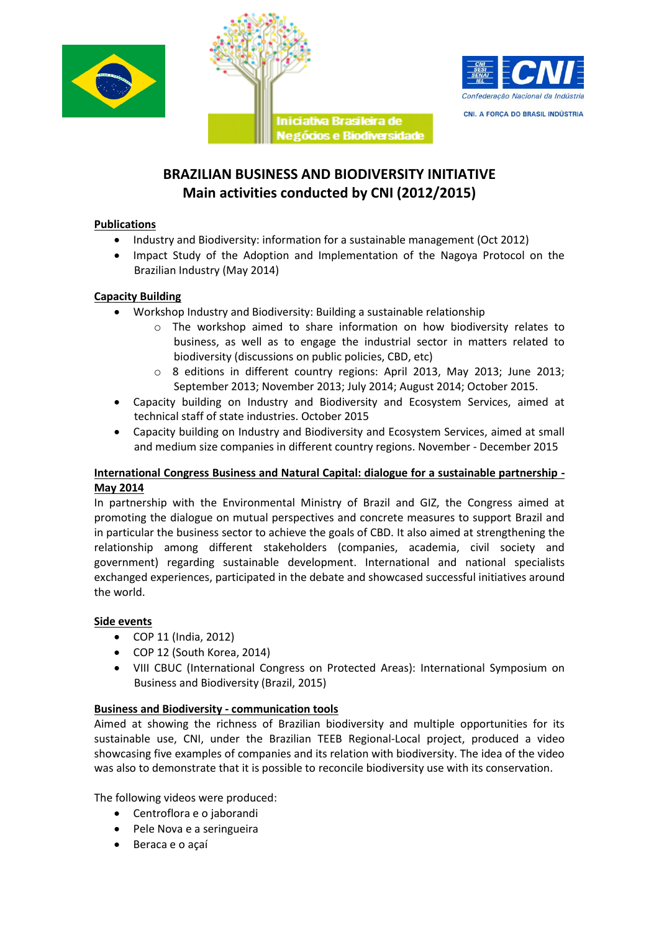





# **BRAZILIAN BUSINESS AND BIODIVERSITY INITIATIVE Main activities conducted by CNI (2012/2015)**

### **Publications**

- Industry and Biodiversity: information for a sustainable management (Oct 2012)
- Impact Study of the Adoption and Implementation of the Nagoya Protocol on the Brazilian Industry (May 2014)

## **Capacity Building**

- Workshop Industry and Biodiversity: Building a sustainable relationship
	- o The workshop aimed to share information on how biodiversity relates to business, as well as to engage the industrial sector in matters related to biodiversity (discussions on public policies, CBD, etc)
	- o 8 editions in different country regions: April 2013, May 2013; June 2013; September 2013; November 2013; July 2014; August 2014; October 2015.
- Capacity building on Industry and Biodiversity and Ecosystem Services, aimed at technical staff of state industries. October 2015
- Capacity building on Industry and Biodiversity and Ecosystem Services, aimed at small and medium size companies in different country regions. November - December 2015

### **International Congress Business and Natural Capital: dialogue for a sustainable partnership - May 2014**

In partnership with the Environmental Ministry of Brazil and GIZ, the Congress aimed at promoting the dialogue on mutual perspectives and concrete measures to support Brazil and in particular the business sector to achieve the goals of CBD. It also aimed at strengthening the relationship among different stakeholders (companies, academia, civil society and government) regarding sustainable development. International and national specialists exchanged experiences, participated in the debate and showcased successful initiatives around the world.

# **Side events**

- COP 11 (India, 2012)
- COP 12 (South Korea, 2014)
- VIII CBUC (International Congress on Protected Areas): International Symposium on Business and Biodiversity (Brazil, 2015)

### **Business and Biodiversity - communication tools**

Aimed at showing the richness of Brazilian biodiversity and multiple opportunities for its sustainable use, CNI, under the Brazilian TEEB Regional-Local project, produced a video showcasing five examples of companies and its relation with biodiversity. The idea of the video was also to demonstrate that it is possible to reconcile biodiversity use with its conservation.

The following videos were produced:

- Centroflora e o jaborandi
- Pele Nova e a seringueira
- Beraca e o açaí